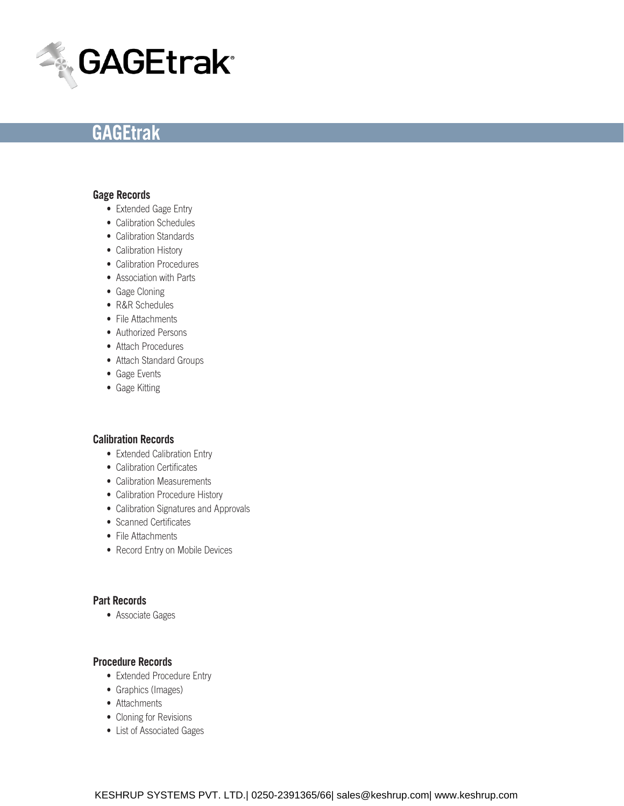

### **Gage Records**

- Extended Gage Entry
- Calibration Schedules
- Calibration Standards
- Calibration History
- Calibration Procedures
- Association with Parts
- Gage Cloning
- R&R Schedules
- File Attachments
- Authorized Persons
- Attach Procedures
- Attach Standard Groups
- • Gage Events
- Gage Kitting

#### **Calibration Records**

- Extended Calibration Entry
- Calibration Certificates
- Calibration Measurements
- Calibration Procedure History
- Calibration Signatures and Approvals
- Scanned Certificates
- File Attachments
- Record Entry on Mobile Devices

# **Part Records**

• Associate Gages

#### **Procedure Records**

- Extended Procedure Entry
- Graphics (Images)
- Attachments
- Cloning for Revisions
- List of Associated Gages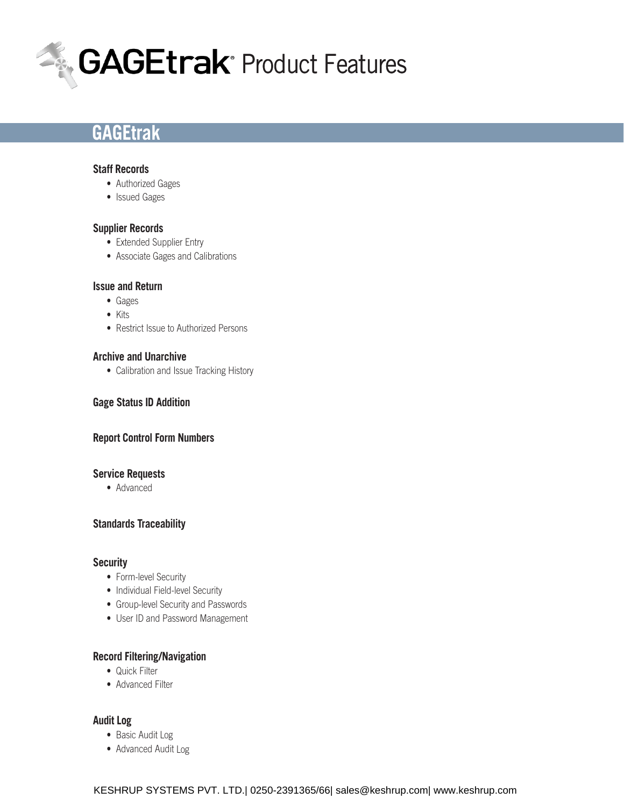

### **Staff Records**

- Authorized Gages
- Issued Gages

## **Supplier Records**

- Extended Supplier Entry
- Associate Gages and Calibrations

### **Issue and Return**

- • Gages
- • Kits
- Restrict Issue to Authorized Persons

#### **Archive and Unarchive**

• Calibration and Issue Tracking History

## **Gage Status ID Addition**

#### **Report Control Form Numbers**

#### **Service Requests**

• Advanced

## **Standards Traceability**

#### **Security**

- Form-level Security
- Individual Field-level Security
- Group-level Security and Passwords
- User ID and Password Management

#### **Record Filtering/Navigation**

- Quick Filter
- Advanced Filter

#### **Audit Log**

- Basic Audit Log
- Advanced Audit Log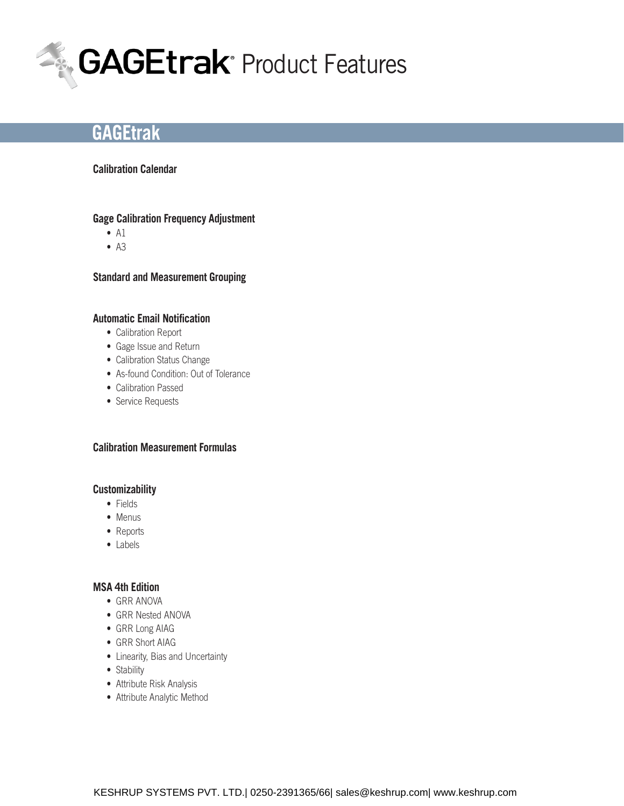

# **Calibration Calendar**

## **Gage Calibration Frequency Adjustment**

- $\bullet$  A1
- $\bullet$  A3

## **Standard and Measurement Grouping**

## **Automatic Email Notification**

- Calibration Report
- • Gage Issue and Return
- Calibration Status Change
- As-found Condition: Out of Tolerance
- Calibration Passed
- Service Requests

## **Calibration Measurement Formulas**

#### **Customizability**

- • Fields
- Menus
- Reports
- • Labels

# **MSA 4th Edition**

- GRR ANOVA
- GRR Nested ANOVA
- GRR Long AIAG
- GRR Short AIAG
- • Linearity, Bias and Uncertainty
- Stability
- Attribute Risk Analysis
- Attribute Analytic Method